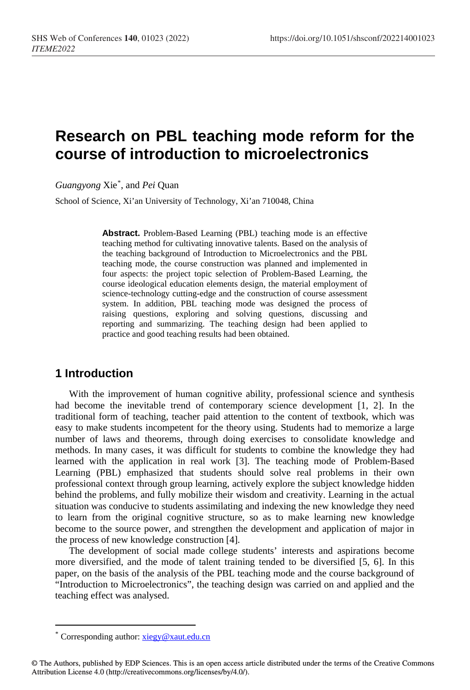# **Research on PBL teaching mode reform for the course of introduction to microelectronics**

*Guangyong* Xie[\\*](#page-0-0) , and *Pei* Quan

School of Science, Xi'an University of Technology, Xi'an 710048, China

**Abstract.** Problem-Based Learning (PBL) teaching mode is an effective teaching method for cultivating innovative talents. Based on the analysis of the teaching background of Introduction to Microelectronics and the PBL teaching mode, the course construction was planned and implemented in four aspects: the project topic selection of Problem-Based Learning, the course ideological education elements design, the material employment of science-technology cutting-edge and the construction of course assessment system. In addition, PBL teaching mode was designed the process of raising questions, exploring and solving questions, discussing and reporting and summarizing. The teaching design had been applied to practice and good teaching results had been obtained.

### **1 Introduction**

With the improvement of human cognitive ability, professional science and synthesis had become the inevitable trend of contemporary science development [1, 2]. In the traditional form of teaching, teacher paid attention to the content of textbook, which was easy to make students incompetent for the theory using. Students had to memorize a large number of laws and theorems, through doing exercises to consolidate knowledge and methods. In many cases, it was difficult for students to combine the knowledge they had learned with the application in real work [3]. The teaching mode of Problem-Based Learning (PBL) emphasized that students should solve real problems in their own professional context through group learning, actively explore the subject knowledge hidden behind the problems, and fully mobilize their wisdom and creativity. Learning in the actual situation was conducive to students assimilating and indexing the new knowledge they need to learn from the original cognitive structure, so as to make learning new knowledge become to the source power, and strengthen the development and application of major in the process of new knowledge construction [4].

The development of social made college students' interests and aspirations become more diversified, and the mode of talent training tended to be diversified [5, 6]. In this paper, on the basis of the analysis of the PBL teaching mode and the course background of "Introduction to Microelectronics", the teaching design was carried on and applied and the teaching effect was analysed.

 $\overline{a}$ 

Corresponding author: [xiegy@xaut.edu.cn](mailto:xiegy@xaut.edu.cn)

<span id="page-0-0"></span><sup>©</sup> The Authors, published by EDP Sciences. This is an open access article distributed under the terms of the Creative Commons Attribution License 4.0 (http://creativecommons.org/licenses/by/4.0/).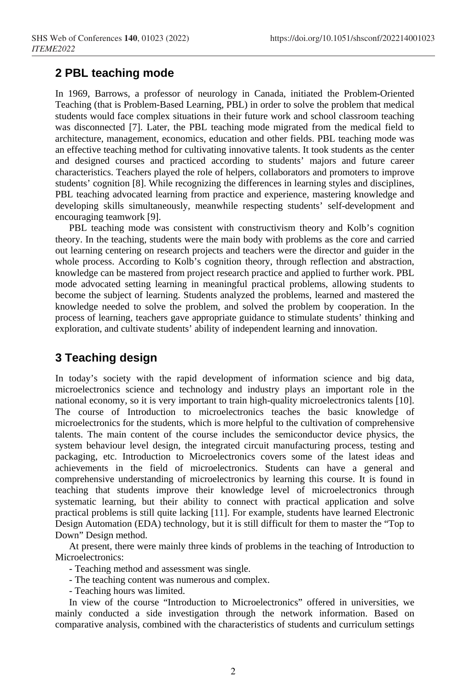## **2 PBL teaching mode**

In 1969, Barrows, a professor of neurology in Canada, initiated the Problem-Oriented Teaching (that is Problem-Based Learning, PBL) in order to solve the problem that medical students would face complex situations in their future work and school classroom teaching was disconnected [7]. Later, the PBL teaching mode migrated from the medical field to architecture, management, economics, education and other fields. PBL teaching mode was an effective teaching method for cultivating innovative talents. It took students as the center and designed courses and practiced according to students' majors and future career characteristics. Teachers played the role of helpers, collaborators and promoters to improve students' cognition [8]. While recognizing the differences in learning styles and disciplines, PBL teaching advocated learning from practice and experience, mastering knowledge and developing skills simultaneously, meanwhile respecting students' self-development and encouraging teamwork [9].

PBL teaching mode was consistent with constructivism theory and Kolb's cognition theory. In the teaching, students were the main body with problems as the core and carried out learning centering on research projects and teachers were the director and guider in the whole process. According to Kolb's cognition theory, through reflection and abstraction, knowledge can be mastered from project research practice and applied to further work. PBL mode advocated setting learning in meaningful practical problems, allowing students to become the subject of learning. Students analyzed the problems, learned and mastered the knowledge needed to solve the problem, and solved the problem by cooperation. In the process of learning, teachers gave appropriate guidance to stimulate students' thinking and exploration, and cultivate students' ability of independent learning and innovation.

# **3 Teaching design**

In today's society with the rapid development of information science and big data, microelectronics science and technology and industry plays an important role in the national economy, so it is very important to train high-quality microelectronics talents [10]. The course of Introduction to microelectronics teaches the basic knowledge of microelectronics for the students, which is more helpful to the cultivation of comprehensive talents. The main content of the course includes the semiconductor device physics, the system behaviour level design, the integrated circuit manufacturing process, testing and packaging, etc. Introduction to Microelectronics covers some of the latest ideas and achievements in the field of microelectronics. Students can have a general and comprehensive understanding of microelectronics by learning this course. It is found in teaching that students improve their knowledge level of microelectronics through systematic learning, but their ability to connect with practical application and solve practical problems is still quite lacking [11]. For example, students have learned Electronic Design Automation (EDA) technology, but it is still difficult for them to master the "Top to Down" Design method.

At present, there were mainly three kinds of problems in the teaching of Introduction to Microelectronics:

- Teaching method and assessment was single.
- The teaching content was numerous and complex.
- Teaching hours was limited.

In view of the course "Introduction to Microelectronics" offered in universities, we mainly conducted a side investigation through the network information. Based on comparative analysis, combined with the characteristics of students and curriculum settings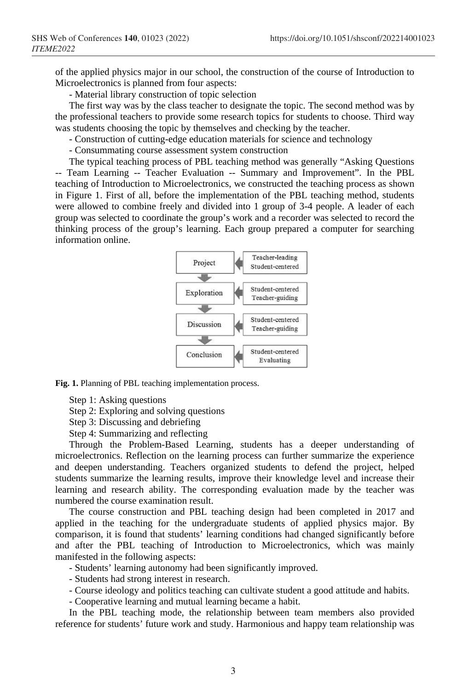of the applied physics major in our school, the construction of the course of Introduction to Microelectronics is planned from four aspects:

- Material library construction of topic selection

The first way was by the class teacher to designate the topic. The second method was by the professional teachers to provide some research topics for students to choose. Third way was students choosing the topic by themselves and checking by the teacher.

- Construction of cutting-edge education materials for science and technology

- Consummating course assessment system construction

The typical teaching process of PBL teaching method was generally "Asking Questions -- Team Learning -- Teacher Evaluation -- Summary and Improvement". In the PBL teaching of Introduction to Microelectronics, we constructed the teaching process as shown in Figure 1. First of all, before the implementation of the PBL teaching method, students were allowed to combine freely and divided into 1 group of 3-4 people. A leader of each group was selected to coordinate the group's work and a recorder was selected to record the thinking process of the group's learning. Each group prepared a computer for searching information online.



**Fig. 1.** Planning of PBL teaching implementation process.

Step 1: Asking questions

Step 2: Exploring and solving questions

Step 3: Discussing and debriefing

Step 4: Summarizing and reflecting

Through the Problem-Based Learning, students has a deeper understanding of microelectronics. Reflection on the learning process can further summarize the experience and deepen understanding. Teachers organized students to defend the project, helped students summarize the learning results, improve their knowledge level and increase their learning and research ability. The corresponding evaluation made by the teacher was numbered the course examination result.

The course construction and PBL teaching design had been completed in 2017 and applied in the teaching for the undergraduate students of applied physics major. By comparison, it is found that students' learning conditions had changed significantly before and after the PBL teaching of Introduction to Microelectronics, which was mainly manifested in the following aspects:

- Students' learning autonomy had been significantly improved.

- Students had strong interest in research.

- Course ideology and politics teaching can cultivate student a good attitude and habits.

- Cooperative learning and mutual learning became a habit.

In the PBL teaching mode, the relationship between team members also provided reference for students' future work and study. Harmonious and happy team relationship was